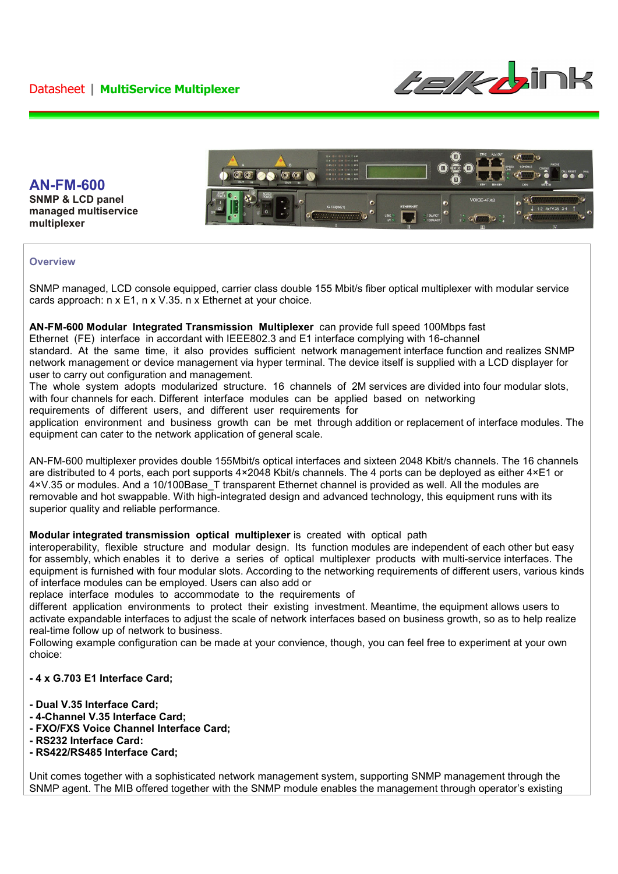



**Overview** 

**multiplexer** 

**AN-FM-600 SNMP & LCD panel managed multiservice** 

SNMP managed, LCD console equipped, carrier class double 155 Mbit/s fiber optical multiplexer with modular service cards approach: n x E1, n x V.35. n x Ethernet at your choice.

#### **AN-FM-600 Modular Integrated Transmission Multiplexer** can provide full speed 100Mbps fast

Ethernet (FE) interface in accordant with IEEE802.3 and E1 interface complying with 16-channel

standard. At the same time, it also provides sufficient network management interface function and realizes SNMP network management or device management via hyper terminal. The device itself is supplied with a LCD displayer for user to carry out configuration and management.

The whole system adopts modularized structure. 16 channels of 2M services are divided into four modular slots, with four channels for each. Different interface modules can be applied based on networking requirements of different users, and different user requirements for

application environment and business growth can be met through addition or replacement of interface modules. The equipment can cater to the network application of general scale.

AN-FM-600 multiplexer provides double 155Mbit/s optical interfaces and sixteen 2048 Kbit/s channels. The 16 channels are distributed to 4 ports, each port supports 4×2048 Kbit/s channels. The 4 ports can be deployed as either 4×E1 or 4×V.35 or modules. And a 10/100Base\_T transparent Ethernet channel is provided as well. All the modules are removable and hot swappable. With high-integrated design and advanced technology, this equipment runs with its superior quality and reliable performance.

#### **Modular integrated transmission optical multiplexer** is created with optical path

interoperability, flexible structure and modular design. Its function modules are independent of each other but easy for assembly, which enables it to derive a series of optical multiplexer products with multi-service interfaces. The equipment is furnished with four modular slots. According to the networking requirements of different users, various kinds of interface modules can be employed. Users can also add or

replace interface modules to accommodate to the requirements of

different application environments to protect their existing investment. Meantime, the equipment allows users to activate expandable interfaces to adjust the scale of network interfaces based on business growth, so as to help realize real-time follow up of network to business.

Following example configuration can be made at your convience, though, you can feel free to experiment at your own choice:

### **- 4 x G.703 E1 Interface Card;**

- **Dual V.35 Interface Card;**
- **4-Channel V.35 Interface Card;**
- **FXO/FXS Voice Channel Interface Card;**
- **RS232 Interface Card:**
- **RS422/RS485 Interface Card;**

Unit comes together with a sophisticated network management system, supporting SNMP management through the SNMP agent. The MIB offered together with the SNMP module enables the management through operator's existing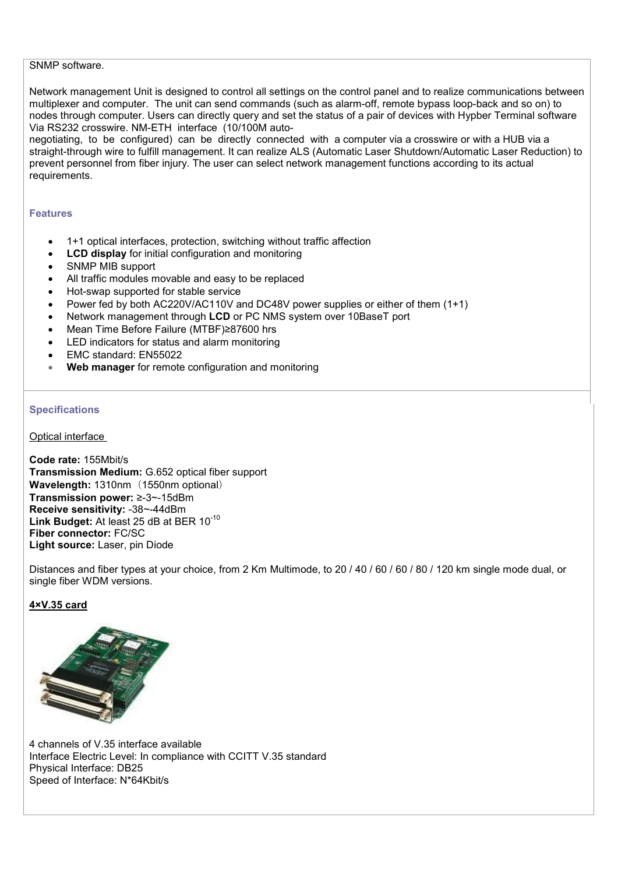## SNMP software.

Network management Unit is designed to control all settings on the control panel and to realize communications between multiplexer and computer. The unit can send commands (such as alarm-off, remote bypass loop-back and so on) to nodes through computer. Users can directly query and set the status of a pair of devices with Hypber Terminal software Via RS232 crosswire. NM-ETH interface (10/100M auto-

negotiating, to be configured) can be directly connected with a computer via a crosswire or with a HUB via a straight-through wire to fulfill management. It can realize ALS (Automatic Laser Shutdown/Automatic Laser Reduction) to prevent personnel from fiber injury. The user can select network management functions according to its actual requirements.

#### **Features**

- 1+1 optical interfaces, protection, switching without traffic affection
- **LCD display** for initial configuration and monitoring
- SNMP MIB support
- All traffic modules movable and easy to be replaced
- Hot-swap supported for stable service
- Power fed by both AC220V/AC110V and DC48V power supplies or either of them (1+1)
- Network management through **LCD** or PC NMS system over 10BaseT port
- Mean Time Before Failure (MTBF)≥87600 hrs
- LED indicators for status and alarm monitoring
- EMC standard: EN55022
- **Web manager** for remote configuration and monitoring

### **Specifications**

Optical interface

**Code rate:** 155Mbit/s **Transmission Medium:** G.652 optical fiber support **Wavelength: 1310nm (1550nm optional) Transmission power:** ≥-3~-15dBm **Receive sensitivity:** -38~-44dBm **Link Budget:** At least 25 dB at BER 10-10 **Fiber connector:** FC/SC **Light source:** Laser, pin Diode

Distances and fiber types at your choice, from 2 Km Multimode, to 20 / 40 / 60 / 60 / 80 / 120 km single mode dual, or single fiber WDM versions.

# **4×V.35 card**



4 channels of V.35 interface available Interface Electric Level: In compliance with CCITT V.35 standard Physical Interface: DB25 Speed of Interface: N\*64Kbit/s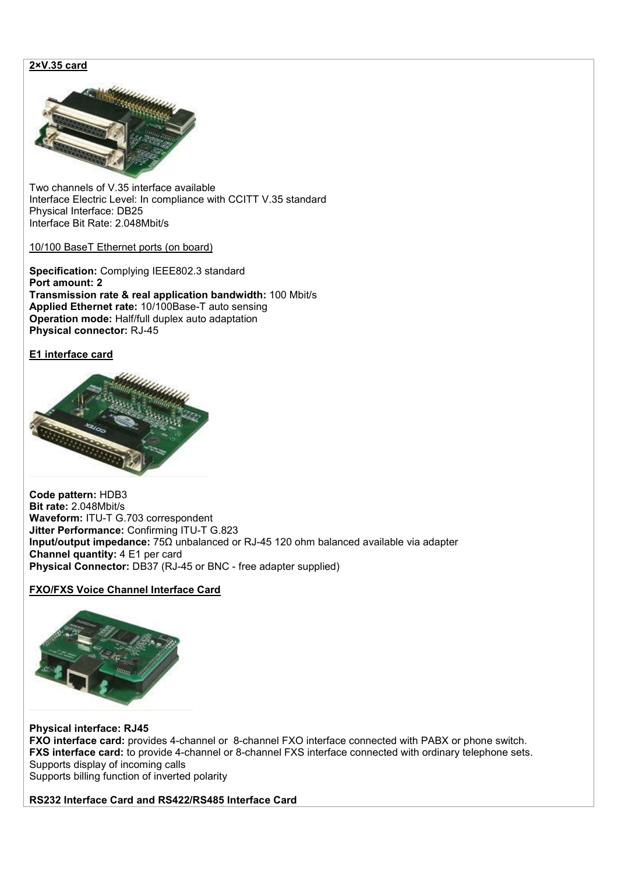## **2×V.35 card**



Two channels of V.35 interface available Interface Electric Level: In compliance with CCITT V.35 standard Physical Interface: DB25 Interface Bit Rate: 2.048Mbit/s

### 10/100 BaseT Ethernet ports (on board)

**Specification:** Complying IEEE802.3 standard **Port amount: 2 Transmission rate & real application bandwidth:** 100 Mbit/s **Applied Ethernet rate:** 10/100Base-T auto sensing **Operation mode:** Half/full duplex auto adaptation **Physical connector:** RJ-45

## **E1 interface card**



**Code pattern:** HDB3 **Bit rate:** 2.048Mbit/s **Waveform:** ITU-T G.703 correspondent **Jitter Performance:** Confirming ITU-T G.823 **Input/output impedance:** 75Ω unbalanced or RJ-45 120 ohm balanced available via adapter **Channel quantity:** 4 E1 per card **Physical Connector:** DB37 (RJ-45 or BNC - free adapter supplied)

## **FXO/FXS Voice Channel Interface Card**



**Physical interface: RJ45 FXO interface card:** provides 4-channel or 8-channel FXO interface connected with PABX or phone switch. **FXS interface card:** to provide 4-channel or 8-channel FXS interface connected with ordinary telephone sets. Supports display of incoming calls Supports billing function of inverted polarity

**RS232 Interface Card and RS422/RS485 Interface Card**